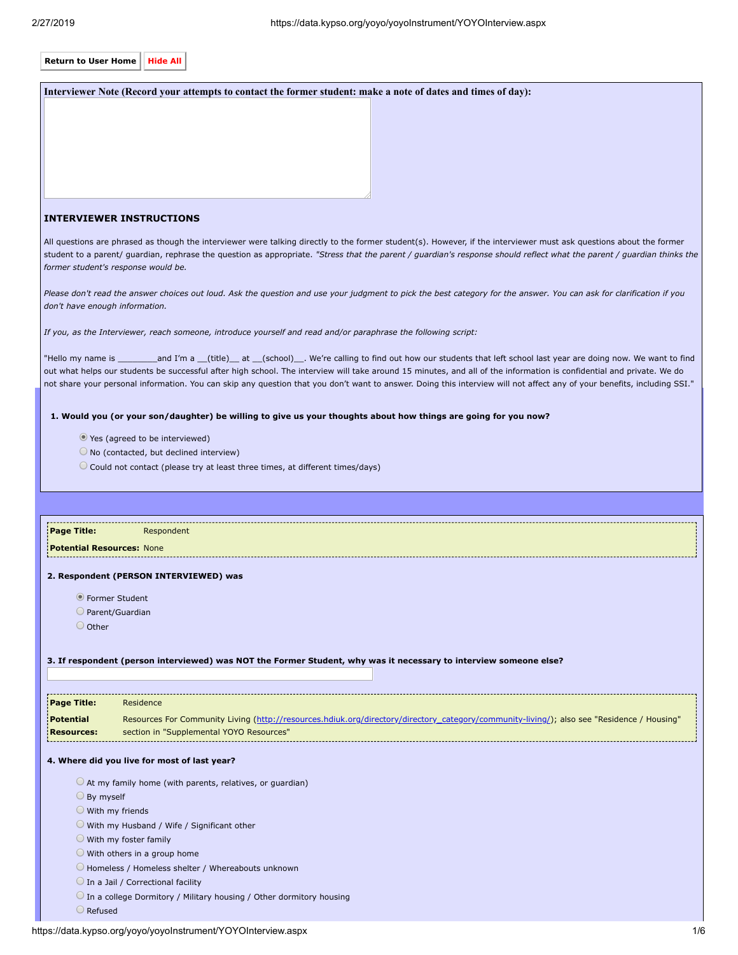| <b>Return to User Home</b>                                                                                                                                                                                                                                                                                                                                                                                                                                                                                                     | <b>Hide All</b>                                                                                                                                         |  |
|--------------------------------------------------------------------------------------------------------------------------------------------------------------------------------------------------------------------------------------------------------------------------------------------------------------------------------------------------------------------------------------------------------------------------------------------------------------------------------------------------------------------------------|---------------------------------------------------------------------------------------------------------------------------------------------------------|--|
|                                                                                                                                                                                                                                                                                                                                                                                                                                                                                                                                | Interviewer Note (Record your attempts to contact the former student: make a note of dates and times of day):                                           |  |
|                                                                                                                                                                                                                                                                                                                                                                                                                                                                                                                                |                                                                                                                                                         |  |
|                                                                                                                                                                                                                                                                                                                                                                                                                                                                                                                                |                                                                                                                                                         |  |
|                                                                                                                                                                                                                                                                                                                                                                                                                                                                                                                                |                                                                                                                                                         |  |
|                                                                                                                                                                                                                                                                                                                                                                                                                                                                                                                                |                                                                                                                                                         |  |
|                                                                                                                                                                                                                                                                                                                                                                                                                                                                                                                                |                                                                                                                                                         |  |
|                                                                                                                                                                                                                                                                                                                                                                                                                                                                                                                                | <b>INTERVIEWER INSTRUCTIONS</b>                                                                                                                         |  |
| All questions are phrased as though the interviewer were talking directly to the former student(s). However, if the interviewer must ask questions about the former<br>student to a parent/ guardian, rephrase the question as appropriate. "Stress that the parent / guardian's response should reflect what the parent / guardian thinks the<br>former student's response would be.                                                                                                                                          |                                                                                                                                                         |  |
| Please don't read the answer choices out loud. Ask the question and use your judgment to pick the best category for the answer. You can ask for clarification if you<br>don't have enough information.                                                                                                                                                                                                                                                                                                                         |                                                                                                                                                         |  |
|                                                                                                                                                                                                                                                                                                                                                                                                                                                                                                                                | If you, as the Interviewer, reach someone, introduce yourself and read and/or paraphrase the following script:                                          |  |
| "Hello my name is __________and I'm a __(title)___ at __(school)___. We're calling to find out how our students that left school last year are doing now. We want to find<br>out what helps our students be successful after high school. The interview will take around 15 minutes, and all of the information is confidential and private. We do<br>not share your personal information. You can skip any question that you don't want to answer. Doing this interview will not affect any of your benefits, including SSI." |                                                                                                                                                         |  |
|                                                                                                                                                                                                                                                                                                                                                                                                                                                                                                                                | 1. Would you (or your son/daughter) be willing to give us your thoughts about how things are going for you now?                                         |  |
|                                                                                                                                                                                                                                                                                                                                                                                                                                                                                                                                | ● Yes (agreed to be interviewed)                                                                                                                        |  |
|                                                                                                                                                                                                                                                                                                                                                                                                                                                                                                                                | $\bigcirc$ No (contacted, but declined interview)                                                                                                       |  |
|                                                                                                                                                                                                                                                                                                                                                                                                                                                                                                                                | Could not contact (please try at least three times, at different times/days)                                                                            |  |
|                                                                                                                                                                                                                                                                                                                                                                                                                                                                                                                                |                                                                                                                                                         |  |
|                                                                                                                                                                                                                                                                                                                                                                                                                                                                                                                                |                                                                                                                                                         |  |
| <b>Page Title:</b><br><b>Potential Resources: None</b>                                                                                                                                                                                                                                                                                                                                                                                                                                                                         | Respondent                                                                                                                                              |  |
|                                                                                                                                                                                                                                                                                                                                                                                                                                                                                                                                | 2. Respondent (PERSON INTERVIEWED) was                                                                                                                  |  |
|                                                                                                                                                                                                                                                                                                                                                                                                                                                                                                                                | • Former Student                                                                                                                                        |  |
|                                                                                                                                                                                                                                                                                                                                                                                                                                                                                                                                | $\bigcirc$ Parent/Guardian                                                                                                                              |  |
| O Other                                                                                                                                                                                                                                                                                                                                                                                                                                                                                                                        |                                                                                                                                                         |  |
|                                                                                                                                                                                                                                                                                                                                                                                                                                                                                                                                |                                                                                                                                                         |  |
|                                                                                                                                                                                                                                                                                                                                                                                                                                                                                                                                | 3. If respondent (person interviewed) was NOT the Former Student, why was it necessary to interview someone else?                                       |  |
|                                                                                                                                                                                                                                                                                                                                                                                                                                                                                                                                |                                                                                                                                                         |  |
| <b>Page Title:</b><br><b>Potential</b>                                                                                                                                                                                                                                                                                                                                                                                                                                                                                         | Residence<br>Resources For Community Living (http://resources.hdiuk.org/directory/directory_category/community-living/); also see "Residence / Housing" |  |
| <b>Resources:</b>                                                                                                                                                                                                                                                                                                                                                                                                                                                                                                              | section in "Supplemental YOYO Resources"                                                                                                                |  |
|                                                                                                                                                                                                                                                                                                                                                                                                                                                                                                                                | 4. Where did you live for most of last year?                                                                                                            |  |
| $\bigcirc$ At my family home (with parents, relatives, or guardian)                                                                                                                                                                                                                                                                                                                                                                                                                                                            |                                                                                                                                                         |  |
| $\bigcirc$ By myself                                                                                                                                                                                                                                                                                                                                                                                                                                                                                                           |                                                                                                                                                         |  |
| $\circ$ With my friends<br>With my Husband / Wife / Significant other                                                                                                                                                                                                                                                                                                                                                                                                                                                          |                                                                                                                                                         |  |
| $\bigcirc$ With my foster family                                                                                                                                                                                                                                                                                                                                                                                                                                                                                               |                                                                                                                                                         |  |
| $\bigcirc$ With others in a group home                                                                                                                                                                                                                                                                                                                                                                                                                                                                                         |                                                                                                                                                         |  |
| Homeless / Homeless shelter / Whereabouts unknown<br>O In a Jail / Correctional facility                                                                                                                                                                                                                                                                                                                                                                                                                                       |                                                                                                                                                         |  |
| $\bigcirc$ In a college Dormitory / Military housing / Other dormitory housing                                                                                                                                                                                                                                                                                                                                                                                                                                                 |                                                                                                                                                         |  |
|                                                                                                                                                                                                                                                                                                                                                                                                                                                                                                                                |                                                                                                                                                         |  |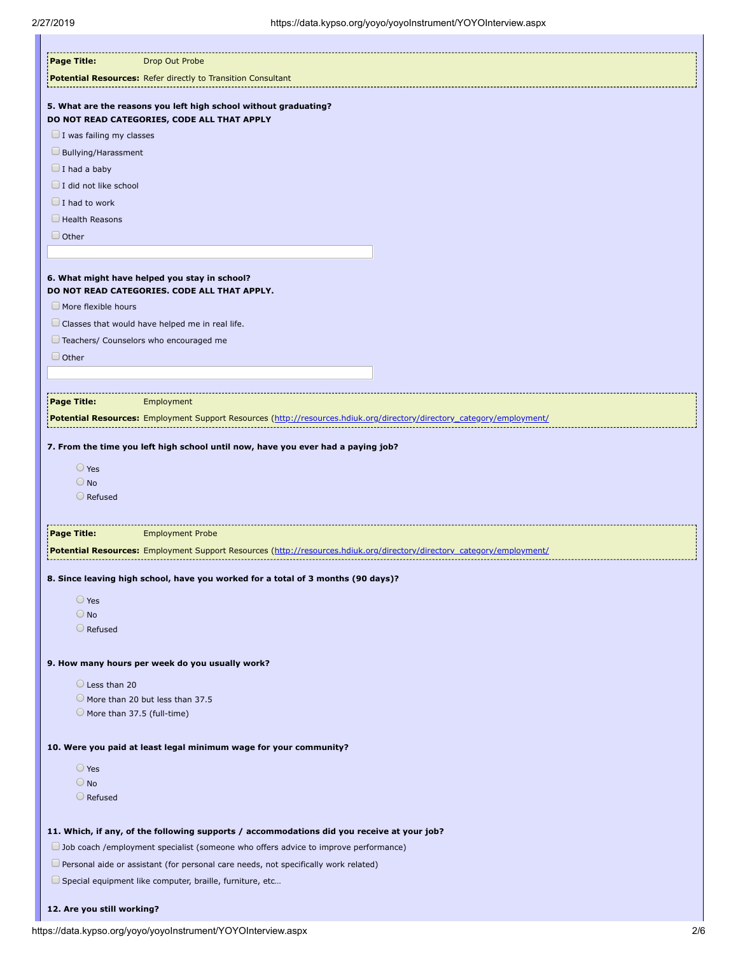| Page Title:<br>Drop Out Probe                                                                                          |  |
|------------------------------------------------------------------------------------------------------------------------|--|
| Potential Resources: Refer directly to Transition Consultant                                                           |  |
| 5. What are the reasons you left high school without graduating?                                                       |  |
| DO NOT READ CATEGORIES, CODE ALL THAT APPLY                                                                            |  |
| $\Box$ I was failing my classes                                                                                        |  |
| Bullying/Harassment                                                                                                    |  |
| $\Box$ I had a baby                                                                                                    |  |
| $\Box$ I did not like school                                                                                           |  |
| $\Box$ I had to work                                                                                                   |  |
| $\Box$ Health Reasons                                                                                                  |  |
| $\Box$ Other                                                                                                           |  |
|                                                                                                                        |  |
| 6. What might have helped you stay in school?                                                                          |  |
| DO NOT READ CATEGORIES. CODE ALL THAT APPLY.                                                                           |  |
| $\Box$ More flexible hours                                                                                             |  |
| $\Box$ Classes that would have helped me in real life.                                                                 |  |
| Teachers/ Counselors who encouraged me                                                                                 |  |
| $\Box$ Other                                                                                                           |  |
|                                                                                                                        |  |
|                                                                                                                        |  |
| Page Title:<br>Employment                                                                                              |  |
| Potential Resources: Employment Support Resources (http://resources.hdiuk.org/directory/directory_category/employment/ |  |
|                                                                                                                        |  |
| 7. From the time you left high school until now, have you ever had a paying job?                                       |  |
| $\bigcirc$ Yes                                                                                                         |  |
| $\bigcirc$ No<br>$\bigcirc$ Refused                                                                                    |  |
|                                                                                                                        |  |
| <b>Page Title:</b><br><b>Employment Probe</b>                                                                          |  |
| Potential Resources: Employment Support Resources (http://resources.hdiuk.org/directory/directory_category/employment/ |  |
|                                                                                                                        |  |
| 8. Since leaving high school, have you worked for a total of 3 months (90 days)?                                       |  |
| $\bigcirc$ Yes                                                                                                         |  |
| $\bigcirc$ No                                                                                                          |  |
| $\bigcirc$ Refused                                                                                                     |  |
|                                                                                                                        |  |
| 9. How many hours per week do you usually work?                                                                        |  |
| $\bigcirc$ Less than 20                                                                                                |  |
| More than 20 but less than 37.5                                                                                        |  |
| More than 37.5 (full-time)                                                                                             |  |
|                                                                                                                        |  |
| 10. Were you paid at least legal minimum wage for your community?                                                      |  |
| O Yes                                                                                                                  |  |
| $\bigcirc$ No                                                                                                          |  |
| $\bigcirc$ Refused                                                                                                     |  |
|                                                                                                                        |  |
| 11. Which, if any, of the following supports / accommodations did you receive at your job?                             |  |
| Job coach /employment specialist (someone who offers advice to improve performance)                                    |  |
| Personal aide or assistant (for personal care needs, not specifically work related)                                    |  |
| Special equipment like computer, braille, furniture, etc                                                               |  |
|                                                                                                                        |  |
|                                                                                                                        |  |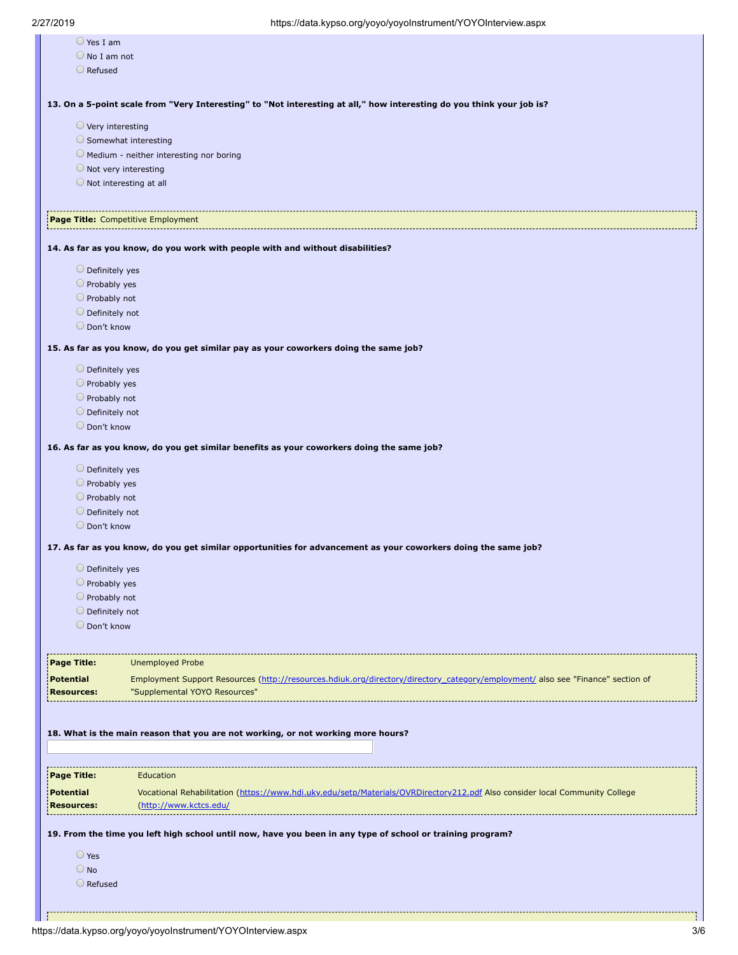|                                           | - - - - - <i>a - , - , - ,</i> -                                                                                                |
|-------------------------------------------|---------------------------------------------------------------------------------------------------------------------------------|
| $\bigcirc$ Yes I am                       |                                                                                                                                 |
| $\bigcirc$ No I am not                    |                                                                                                                                 |
| $\bigcirc$ Refused                        |                                                                                                                                 |
|                                           |                                                                                                                                 |
|                                           |                                                                                                                                 |
|                                           | 13. On a 5-point scale from "Very Interesting" to "Not interesting at all," how interesting do you think your job is?           |
| $\bigcirc$ Very interesting               |                                                                                                                                 |
|                                           | Somewhat interesting                                                                                                            |
|                                           | O Medium - neither interesting nor boring                                                                                       |
|                                           | $\bigcirc$ Not very interesting                                                                                                 |
|                                           | $\bigcirc$ Not interesting at all                                                                                               |
|                                           |                                                                                                                                 |
|                                           |                                                                                                                                 |
|                                           | Page Title: Competitive Employment                                                                                              |
|                                           | 14. As far as you know, do you work with people with and without disabilities?                                                  |
| $\bigcirc$ Definitely yes                 |                                                                                                                                 |
| $\bigcirc$ Probably yes                   |                                                                                                                                 |
| $\bigcirc$ Probably not                   |                                                                                                                                 |
|                                           |                                                                                                                                 |
| $\bigcirc$ Definitely not<br>O Don't know |                                                                                                                                 |
|                                           |                                                                                                                                 |
|                                           | 15. As far as you know, do you get similar pay as your coworkers doing the same job?                                            |
|                                           |                                                                                                                                 |
| $\bigcirc$ Definitely yes                 |                                                                                                                                 |
| $\bigcirc$ Probably yes                   |                                                                                                                                 |
| $\bigcirc$ Probably not                   |                                                                                                                                 |
| $\bigcirc$ Definitely not                 |                                                                                                                                 |
| O Don't know                              |                                                                                                                                 |
|                                           | 16. As far as you know, do you get similar benefits as your coworkers doing the same job?                                       |
|                                           |                                                                                                                                 |
| $\bigcirc$ Definitely yes                 |                                                                                                                                 |
| $\bigcirc$ Probably yes                   |                                                                                                                                 |
| O Probably not                            |                                                                                                                                 |
| $\bigcirc$ Definitely not                 |                                                                                                                                 |
| O Don't know                              |                                                                                                                                 |
|                                           | 17. As far as you know, do you get similar opportunities for advancement as your coworkers doing the same job?                  |
|                                           |                                                                                                                                 |
| O Definitely yes                          |                                                                                                                                 |
| O Probably yes                            |                                                                                                                                 |
| O Probably not                            |                                                                                                                                 |
| O Definitely not                          |                                                                                                                                 |
| O Don't know                              |                                                                                                                                 |
|                                           |                                                                                                                                 |
| Page Title:                               |                                                                                                                                 |
|                                           | <b>Unemployed Probe</b>                                                                                                         |
| <b>Potential</b>                          | Employment Support Resources (http://resources.hdiuk.org/directory/directory_category/employment/ also see "Finance" section of |
| <b>Resources:</b>                         | "Supplemental YOYO Resources"                                                                                                   |
|                                           |                                                                                                                                 |
|                                           |                                                                                                                                 |
|                                           | 18. What is the main reason that you are not working, or not working more hours?                                                |
|                                           |                                                                                                                                 |
|                                           |                                                                                                                                 |
| Page Title:                               | Education                                                                                                                       |
| Potential                                 | Vocational Rehabilitation (https://www.hdi.uky.edu/setp/Materials/OVRDirectory212.pdf Also consider local Community College     |
| <b>Resources:</b>                         | (http://www.kctcs.edu/                                                                                                          |
|                                           |                                                                                                                                 |
|                                           | 19. From the time you left high school until now, have you been in any type of school or training program?                      |
| ○ Yes                                     |                                                                                                                                 |
|                                           |                                                                                                                                 |
| $\bigcirc$ No                             |                                                                                                                                 |
| $\bigcirc$ Refused                        |                                                                                                                                 |
|                                           |                                                                                                                                 |
|                                           |                                                                                                                                 |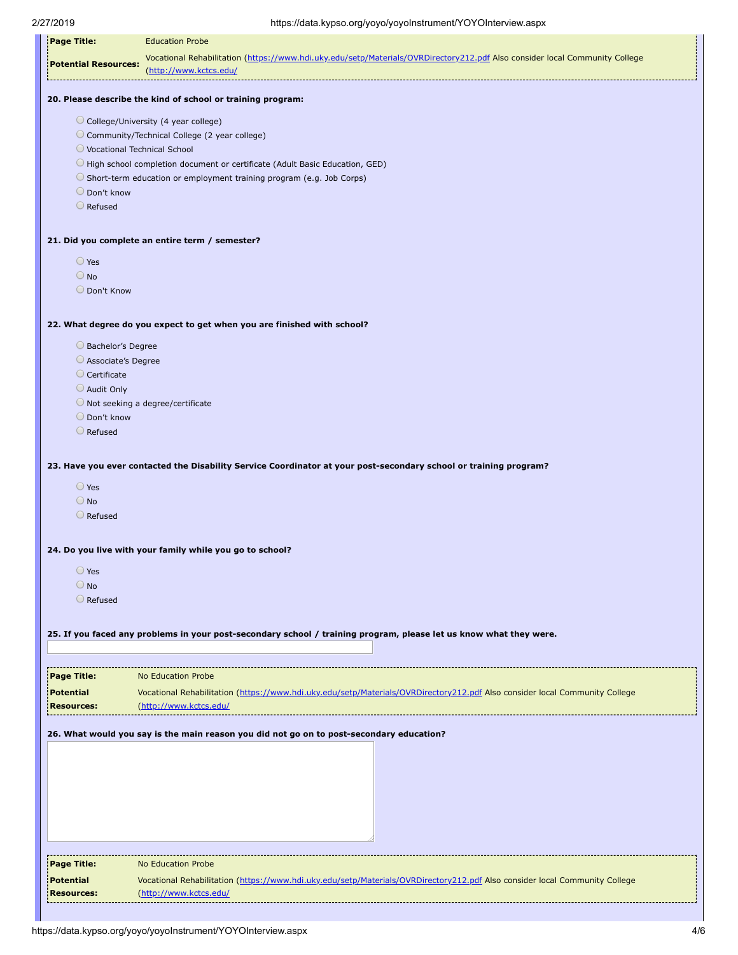| Page Title:                               | <b>Education Probe</b>                                                                                                      |
|-------------------------------------------|-----------------------------------------------------------------------------------------------------------------------------|
| <b>Potential Resources:</b>               | Vocational Rehabilitation (https://www.hdi.uky.edu/setp/Materials/OVRDirectory212.pdf Also consider local Community College |
|                                           | (http://www.kctcs.edu/                                                                                                      |
|                                           | 20. Please describe the kind of school or training program:                                                                 |
|                                           | College/University (4 year college)                                                                                         |
|                                           | Community/Technical College (2 year college)                                                                                |
|                                           | ◯ Vocational Technical School<br>High school completion document or certificate (Adult Basic Education, GED)                |
|                                           | Short-term education or employment training program (e.g. Job Corps)                                                        |
| O Don't know                              |                                                                                                                             |
| $\bigcirc$ Refused                        |                                                                                                                             |
|                                           | 21. Did you complete an entire term / semester?                                                                             |
| O Yes                                     |                                                                                                                             |
| $\bigcirc$ No                             |                                                                                                                             |
| O Don't Know                              |                                                                                                                             |
|                                           |                                                                                                                             |
|                                           | 22. What degree do you expect to get when you are finished with school?                                                     |
| Bachelor's Degree                         |                                                                                                                             |
| Associate's Degree<br>$\circ$ Certificate |                                                                                                                             |
| Audit Only                                |                                                                                                                             |
|                                           | Not seeking a degree/certificate                                                                                            |
| O Don't know                              |                                                                                                                             |
| Refused                                   |                                                                                                                             |
|                                           |                                                                                                                             |
|                                           | 23. Have you ever contacted the Disability Service Coordinator at your post-secondary school or training program?           |
| $\bigcirc$ Yes                            |                                                                                                                             |
| $\bigcirc$ No                             |                                                                                                                             |
| $\bigcirc$ Refused                        |                                                                                                                             |
|                                           | 24. Do you live with your family while you go to school?                                                                    |
| O Yes                                     |                                                                                                                             |
| $\bigcirc$ No                             |                                                                                                                             |
| $\bigcirc$ Refused                        |                                                                                                                             |
|                                           |                                                                                                                             |
|                                           | 25. If you faced any problems in your post-secondary school / training program, please let us know what they were.          |
|                                           |                                                                                                                             |
| Page Title:                               | <b>No Education Probe</b>                                                                                                   |
| <b>Potential</b>                          | Vocational Rehabilitation (https://www.hdi.uky.edu/setp/Materials/OVRDirectory212.pdf Also consider local Community College |
| <b>Resources:</b>                         | (http://www.kctcs.edu/                                                                                                      |
|                                           | 26. What would you say is the main reason you did not go on to post-secondary education?                                    |
|                                           |                                                                                                                             |
|                                           |                                                                                                                             |
|                                           |                                                                                                                             |
|                                           |                                                                                                                             |
|                                           |                                                                                                                             |
|                                           |                                                                                                                             |
|                                           |                                                                                                                             |
|                                           |                                                                                                                             |
| Page Title:                               | No Education Probe                                                                                                          |
| <b>Potential</b>                          | Vocational Rehabilitation (https://www.hdi.uky.edu/setp/Materials/OVRDirectory212.pdf Also consider local Community College |
| <b>Resources:</b>                         | (http://www.kctcs.edu/                                                                                                      |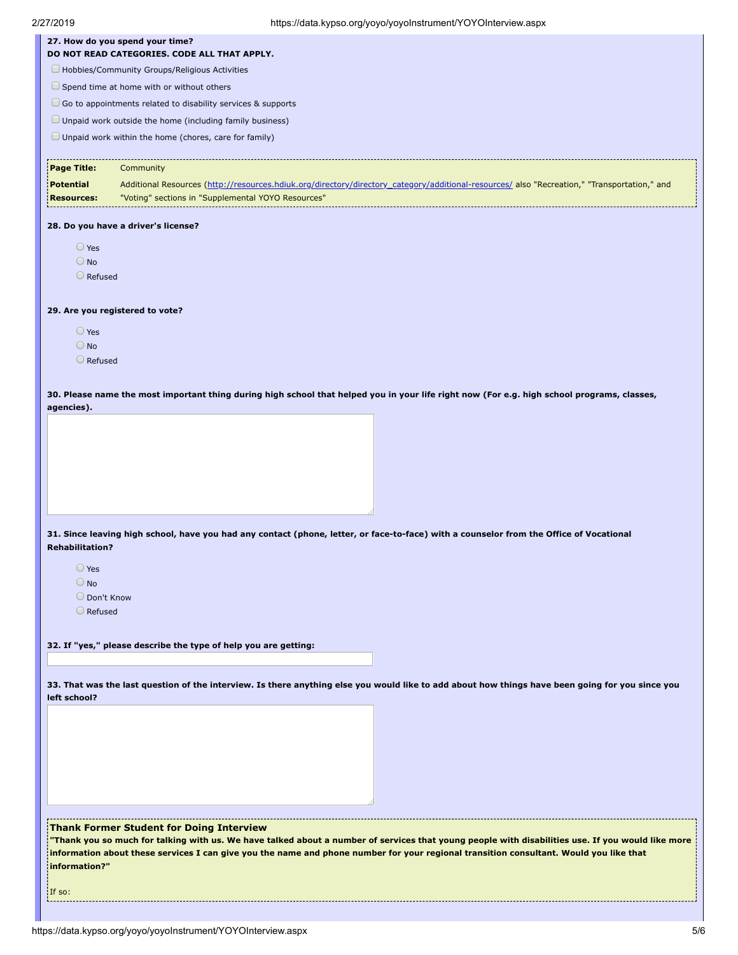|                         | 27. How do you spend your time?<br>DO NOT READ CATEGORIES. CODE ALL THAT APPLY.                                                                  |
|-------------------------|--------------------------------------------------------------------------------------------------------------------------------------------------|
|                         | Hobbies/Community Groups/Religious Activities                                                                                                    |
|                         |                                                                                                                                                  |
|                         | Spend time at home with or without others                                                                                                        |
|                         | $\Box$ Go to appointments related to disability services & supports                                                                              |
|                         | $\Box$ Unpaid work outside the home (including family business)                                                                                  |
|                         | Unpaid work within the home (chores, care for family)                                                                                            |
| Page Title:             | Community                                                                                                                                        |
| <b>Potential</b>        | Additional Resources (http://resources.hdiuk.org/directory/directory_category/additional-resources/ also "Recreation," "Transportation," and     |
| <b>Resources:</b>       | "Voting" sections in "Supplemental YOYO Resources"                                                                                               |
|                         | 28. Do you have a driver's license?                                                                                                              |
| $\bigcirc$ Yes          |                                                                                                                                                  |
| $\bigcirc$ No           |                                                                                                                                                  |
| O Refused               |                                                                                                                                                  |
|                         |                                                                                                                                                  |
|                         | 29. Are you registered to vote?                                                                                                                  |
| $\bigcirc$ Yes          |                                                                                                                                                  |
| $\bigcirc$ No           |                                                                                                                                                  |
| O Refused               |                                                                                                                                                  |
|                         | 30. Please name the most important thing during high school that helped you in your life right now (For e.g. high school programs, classes,      |
| agencies).              |                                                                                                                                                  |
|                         | 31. Since leaving high school, have you had any contact (phone, letter, or face-to-face) with a counselor from the Office of Vocational          |
|                         |                                                                                                                                                  |
| $\bigcirc$ Yes          |                                                                                                                                                  |
| $\bigcirc$ No           |                                                                                                                                                  |
| O Don't Know<br>Refused |                                                                                                                                                  |
|                         |                                                                                                                                                  |
| <b>Rehabilitation?</b>  | 32. If "yes," please describe the type of help you are getting:                                                                                  |
|                         |                                                                                                                                                  |
|                         | 33. That was the last question of the interview. Is there anything else you would like to add about how things have been going for you since you |
|                         |                                                                                                                                                  |
| left school?            |                                                                                                                                                  |
|                         |                                                                                                                                                  |
|                         |                                                                                                                                                  |
|                         |                                                                                                                                                  |
|                         |                                                                                                                                                  |

**information about these services I can give you the name and phone number for your regional transition consultant. Would you like that**

**information?"** 

If so:

A